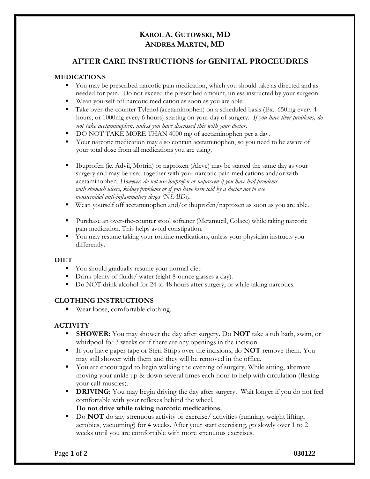# **KAROL A. GUTOWSKI, MD ANDREA MARTIN, MD**

## **AFTER CARE INSTRUCTIONS for GENITAL PROCEUDRES**

#### **MEDICATIONS**

- You may be prescribed narcotic pain medication, which you should take as directed and as needed for pain. Do not exceed the prescribed amount, unless instructed by your surgeon.
- Wean yourself off narcotic medication as soon as you are able.
- Take over-the-counter Tylenol (acetaminophen) on a scheduled basis (Ex.: 650mg every 4 hours, or 1000mg every 6 hours) starting on your day of surgery. *If you have liver problems, do not take acetaminophen, unless you have discussed this with your doctor.*
- DO NOT TAKE MORE THAN 4000 mg of acetaminophen per a day.
- Your narcotic medication may also contain acetaminophen, so you need to be aware of your total dose from all medications you are using.
- Ibuprofen (ie. Advil, Motrin) or naproxen (Aleve) may be started the same day as your surgery and may be used together with your narcotic pain medications and/or with acetaminophen. *However, do not use ibuprofen or naproxen if you have had problems with stomach ulcers, kidney problems or if you have been told by a doctor not to use nonsteroidal anti-inflammatory drugs (NSAIDs).*
- Wean yourself off acetaminophen and/or ibuprofen/naproxen as soon as you are able.
- Purchase an over-the-counter stool softener (Metamucil, Colace) while taking narcotic pain medication. This helps avoid constipation.
- You may resume taking your routine medications, unless your physician instructs you differently**.**

#### **DIET**

- You should gradually resume your normal diet.
- Drink plenty of fluids/ water (eight 8-ounce glasses a day).
- Do NOT drink alcohol for 24 to 48 hours after surgery, or while taking narcotics.

## **CLOTHING INSTRUCTIONS**

■ Wear loose, comfortable clothing.

## **ACTIVITY**

- **SHOWER:** You may shower the day after surgery. Do **NOT** take a tub bath, swim, or whirlpool for 3 weeks or if there are any openings in the incision.
- If you have paper tape or Steri-Strips over the incisions, do **NOT** remove them. You may still shower with them and they will be removed in the office.
- You are encouraged to begin walking the evening of surgery. While sitting, alternate moving your ankle up & down several times each hour to help with circulation (flexing your calf muscles).
- **DRIVING:** You may begin driving the day after surgery. Wait longer if you do not feel comfortable with your reflexes behind the wheel.

**Do not drive while taking narcotic medications.**

■ Do **NOT** do any strenuous activity or exercise/activities (running, weight lifting, aerobics, vacuuming) for 4 weeks. After your start exercising, go slowly over 1 to 2 weeks until you are comfortable with more strenuous exercises.